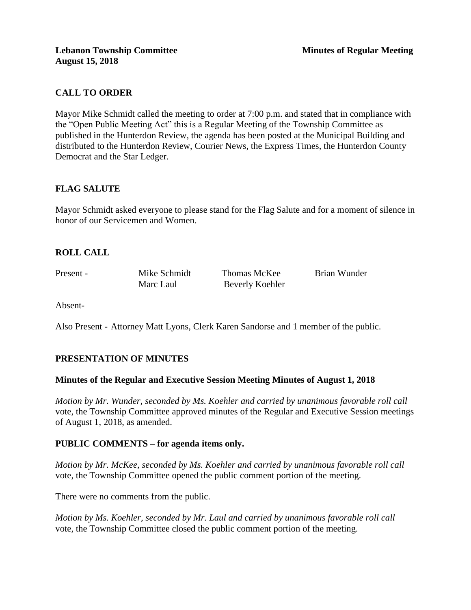## **CALL TO ORDER**

Mayor Mike Schmidt called the meeting to order at 7:00 p.m. and stated that in compliance with the "Open Public Meeting Act" this is a Regular Meeting of the Township Committee as published in the Hunterdon Review, the agenda has been posted at the Municipal Building and distributed to the Hunterdon Review, Courier News, the Express Times, the Hunterdon County Democrat and the Star Ledger.

## **FLAG SALUTE**

Mayor Schmidt asked everyone to please stand for the Flag Salute and for a moment of silence in honor of our Servicemen and Women.

## **ROLL CALL**

Present - Mike Schmidt Thomas McKee Brian Wunder Marc Laul Beverly Koehler

Absent-

Also Present - Attorney Matt Lyons, Clerk Karen Sandorse and 1 member of the public.

## **PRESENTATION OF MINUTES**

#### **Minutes of the Regular and Executive Session Meeting Minutes of August 1, 2018**

*Motion by Mr. Wunder, seconded by Ms. Koehler and carried by unanimous favorable roll call*  vote, the Township Committee approved minutes of the Regular and Executive Session meetings of August 1, 2018, as amended.

#### **PUBLIC COMMENTS – for agenda items only.**

*Motion by Mr. McKee, seconded by Ms. Koehler and carried by unanimous favorable roll call*  vote, the Township Committee opened the public comment portion of the meeting.

There were no comments from the public.

*Motion by Ms. Koehler, seconded by Mr. Laul and carried by unanimous favorable roll call*  vote*,* the Township Committee closed the public comment portion of the meeting.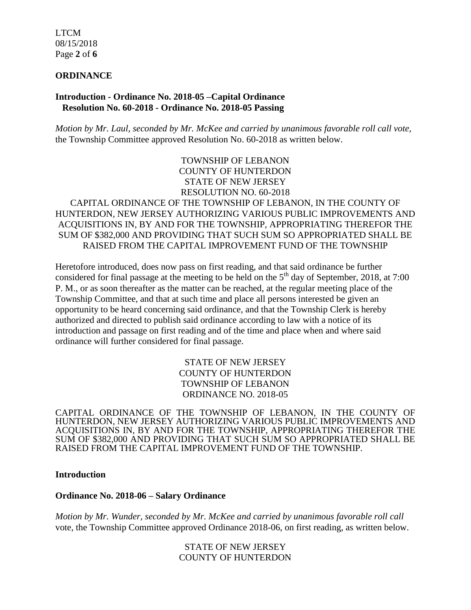LTCM 08/15/2018 Page **2** of **6**

#### **ORDINANCE**

#### **Introduction - Ordinance No. 2018-05 –Capital Ordinance Resolution No. 60-2018 - Ordinance No. 2018-05 Passing**

*Motion by Mr. Laul, seconded by Mr. McKee and carried by unanimous favorable roll call vote,*  the Township Committee approved Resolution No. 60-2018 as written below.

> TOWNSHIP OF LEBANON COUNTY OF HUNTERDON STATE OF NEW JERSEY RESOLUTION NO. 60-2018

### CAPITAL ORDINANCE OF THE TOWNSHIP OF LEBANON, IN THE COUNTY OF HUNTERDON, NEW JERSEY AUTHORIZING VARIOUS PUBLIC IMPROVEMENTS AND ACQUISITIONS IN, BY AND FOR THE TOWNSHIP, APPROPRIATING THEREFOR THE SUM OF \$382,000 AND PROVIDING THAT SUCH SUM SO APPROPRIATED SHALL BE RAISED FROM THE CAPITAL IMPROVEMENT FUND OF THE TOWNSHIP

Heretofore introduced, does now pass on first reading, and that said ordinance be further considered for final passage at the meeting to be held on the  $5<sup>th</sup>$  day of September, 2018, at 7:00 P. M., or as soon thereafter as the matter can be reached, at the regular meeting place of the Township Committee, and that at such time and place all persons interested be given an opportunity to be heard concerning said ordinance, and that the Township Clerk is hereby authorized and directed to publish said ordinance according to law with a notice of its introduction and passage on first reading and of the time and place when and where said ordinance will further considered for final passage.

> STATE OF NEW JERSEY COUNTY OF HUNTERDON TOWNSHIP OF LEBANON ORDINANCE NO. 2018-05

CAPITAL ORDINANCE OF THE TOWNSHIP OF LEBANON, IN THE COUNTY OF HUNTERDON, NEW JERSEY AUTHORIZING VARIOUS PUBLIC IMPROVEMENTS AND ACQUISITIONS IN, BY AND FOR THE TOWNSHIP, APPROPRIATING THEREFOR THE SUM OF \$382,000 AND PROVIDING THAT SUCH SUM SO APPROPRIATED SHALL BE RAISED FROM THE CAPITAL IMPROVEMENT FUND OF THE TOWNSHIP.

#### **Introduction**

#### **Ordinance No. 2018-06 – Salary Ordinance**

*Motion by Mr. Wunder, seconded by Mr. McKee and carried by unanimous favorable roll call*  vote, the Township Committee approved Ordinance 2018-06, on first reading, as written below.

> STATE OF NEW JERSEY COUNTY OF HUNTERDON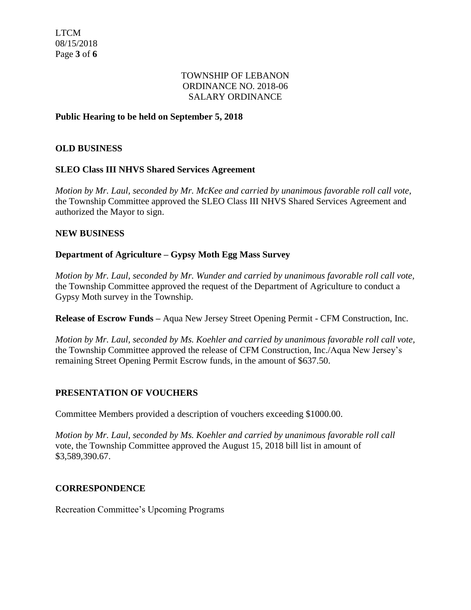### TOWNSHIP OF LEBANON ORDINANCE NO. 2018-06 SALARY ORDINANCE

### **Public Hearing to be held on September 5, 2018**

### **OLD BUSINESS**

### **SLEO Class III NHVS Shared Services Agreement**

*Motion by Mr. Laul, seconded by Mr. McKee and carried by unanimous favorable roll call vote,*  the Township Committee approved the SLEO Class III NHVS Shared Services Agreement and authorized the Mayor to sign.

#### **NEW BUSINESS**

#### **Department of Agriculture – Gypsy Moth Egg Mass Survey**

*Motion by Mr. Laul, seconded by Mr. Wunder and carried by unanimous favorable roll call vote,*  the Township Committee approved the request of the Department of Agriculture to conduct a Gypsy Moth survey in the Township.

**Release of Escrow Funds –** Aqua New Jersey Street Opening Permit - CFM Construction, Inc.

*Motion by Mr. Laul, seconded by Ms. Koehler and carried by unanimous favorable roll call vote,*  the Township Committee approved the release of CFM Construction, Inc./Aqua New Jersey's remaining Street Opening Permit Escrow funds, in the amount of \$637.50.

#### **PRESENTATION OF VOUCHERS**

Committee Members provided a description of vouchers exceeding \$1000.00.

*Motion by Mr. Laul, seconded by Ms. Koehler and carried by unanimous favorable roll call*  vote, the Township Committee approved the August 15, 2018 bill list in amount of \$3,589,390.67.

#### **CORRESPONDENCE**

Recreation Committee's Upcoming Programs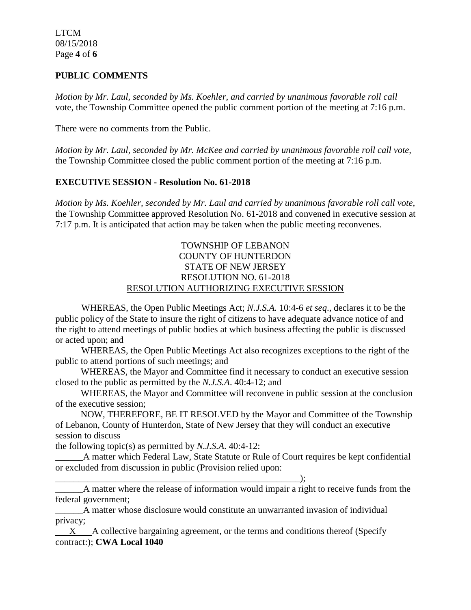### **PUBLIC COMMENTS**

*Motion by Mr. Laul, seconded by Ms. Koehler, and carried by unanimous favorable roll call*  vote, the Township Committee opened the public comment portion of the meeting at 7:16 p.m.

There were no comments from the Public.

*Motion by Mr. Laul, seconded by Mr. McKee and carried by unanimous favorable roll call vote,* the Township Committee closed the public comment portion of the meeting at 7:16 p.m.

### **EXECUTIVE SESSION - Resolution No. 61-2018**

*Motion by Ms. Koehler, seconded by Mr. Laul and carried by unanimous favorable roll call vote,* the Township Committee approved Resolution No. 61-2018 and convened in executive session at 7:17 p.m. It is anticipated that action may be taken when the public meeting reconvenes.

### TOWNSHIP OF LEBANON COUNTY OF HUNTERDON STATE OF NEW JERSEY RESOLUTION NO. 61-2018 RESOLUTION AUTHORIZING EXECUTIVE SESSION

WHEREAS, the Open Public Meetings Act; *N.J.S.A.* 10:4-6 *et seq*., declares it to be the public policy of the State to insure the right of citizens to have adequate advance notice of and the right to attend meetings of public bodies at which business affecting the public is discussed or acted upon; and

WHEREAS, the Open Public Meetings Act also recognizes exceptions to the right of the public to attend portions of such meetings; and

 WHEREAS, the Mayor and Committee find it necessary to conduct an executive session closed to the public as permitted by the *N.J.S.A*. 40:4-12; and

 WHEREAS, the Mayor and Committee will reconvene in public session at the conclusion of the executive session;

 NOW, THEREFORE, BE IT RESOLVED by the Mayor and Committee of the Township of Lebanon, County of Hunterdon, State of New Jersey that they will conduct an executive session to discuss

the following topic(s) as permitted by *N.J.S.A*. 40:4-12:

A matter which Federal Law, State Statute or Rule of Court requires be kept confidential or excluded from discussion in public (Provision relied upon:

\_\_\_\_\_\_\_\_\_\_\_\_\_\_\_\_\_\_\_\_\_\_\_\_\_\_\_\_\_\_\_\_\_\_\_\_\_\_\_\_\_\_\_\_\_\_\_\_\_\_\_\_\_); \_\_\_\_\_\_A matter where the release of information would impair a right to receive funds from the federal government;

A matter whose disclosure would constitute an unwarranted invasion of individual privacy;

 X A collective bargaining agreement, or the terms and conditions thereof (Specify contract:); **CWA Local 1040**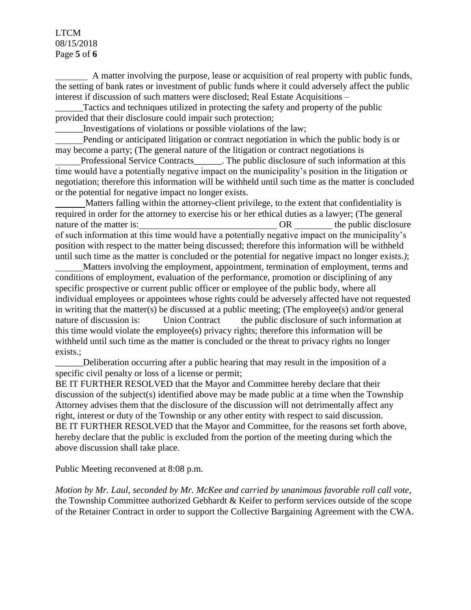### LTCM 08/15/2018 Page **5** of **6**

 A matter involving the purpose, lease or acquisition of real property with public funds, the setting of bank rates or investment of public funds where it could adversely affect the public interest if discussion of such matters were disclosed; Real Estate Acquisitions –

Tactics and techniques utilized in protecting the safety and property of the public provided that their disclosure could impair such protection;

\_\_\_\_\_\_Investigations of violations or possible violations of the law;

 Pending or anticipated litigation or contract negotiation in which the public body is or may become a party; (The general nature of the litigation or contract negotiations is

 Professional Service Contracts\_\_\_\_\_\_. The public disclosure of such information at this time would have a potentially negative impact on the municipality's position in the litigation or negotiation; therefore this information will be withheld until such time as the matter is concluded or the potential for negative impact no longer exists.

 Matters falling within the attorney-client privilege, to the extent that confidentiality is required in order for the attorney to exercise his or her ethical duties as a lawyer; (The general nature of the matter is:  $OR$  the public disclosure of such information at this time would have a potentially negative impact on the municipality's position with respect to the matter being discussed; therefore this information will be withheld until such time as the matter is concluded or the potential for negative impact no longer exists.*)*;

 Matters involving the employment, appointment, termination of employment, terms and conditions of employment, evaluation of the performance, promotion or disciplining of any specific prospective or current public officer or employee of the public body, where all individual employees or appointees whose rights could be adversely affected have not requested in writing that the matter(s) be discussed at a public meeting; (The employee(s) and/or general nature of discussion is: Union Contractthe public disclosure of such information at this time would violate the employee(s) privacy rights; therefore this information will be withheld until such time as the matter is concluded or the threat to privacy rights no longer exists.;

Deliberation occurring after a public hearing that may result in the imposition of a specific civil penalty or loss of a license or permit;

BE IT FURTHER RESOLVED that the Mayor and Committee hereby declare that their discussion of the subject(s) identified above may be made public at a time when the Township Attorney advises them that the disclosure of the discussion will not detrimentally affect any right, interest or duty of the Township or any other entity with respect to said discussion. BE IT FURTHER RESOLVED that the Mayor and Committee, for the reasons set forth above, hereby declare that the public is excluded from the portion of the meeting during which the above discussion shall take place.

Public Meeting reconvened at 8:08 p.m.

*Motion by Mr. Laul, seconded by Mr. McKee and carried by unanimous favorable roll call vote,*  the Township Committee authorized Gebhardt & Keifer to perform services outside of the scope of the Retainer Contract in order to support the Collective Bargaining Agreement with the CWA.